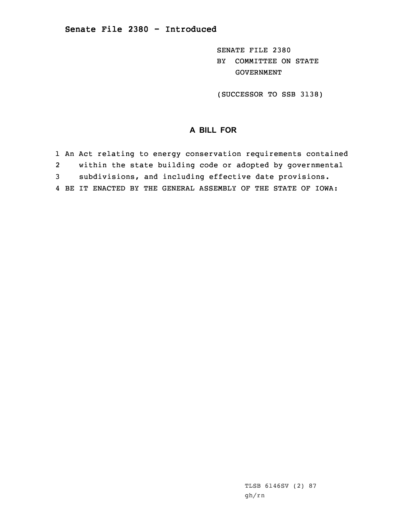SENATE FILE 2380 BY COMMITTEE ON STATE GOVERNMENT

(SUCCESSOR TO SSB 3138)

## **A BILL FOR**

1 An Act relating to energy conservation requirements contained 2 within the state building code or adopted by governmental 3 subdivisions, and including effective date provisions. 4 BE IT ENACTED BY THE GENERAL ASSEMBLY OF THE STATE OF IOWA:

> TLSB 6146SV (2) 87 gh/rn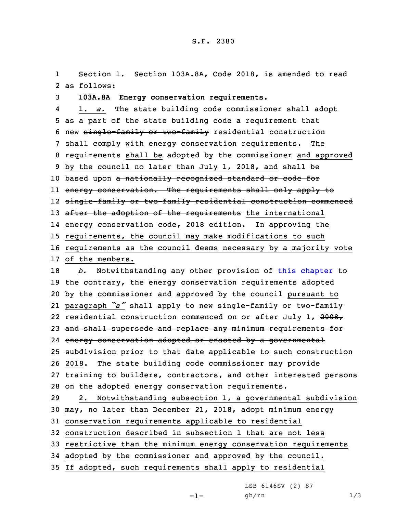1 Section 1. Section 103A.8A, Code 2018, is amended to read 2 as follows:

3 **103A.8A Energy conservation requirements.**

4 1. *a.* The state building code commissioner shall adopt as <sup>a</sup> part of the state building code <sup>a</sup> requirement that new single-family or two-family residential construction shall comply with energy conservation requirements. The requirements shall be adopted by the commissioner and approved by the council no later than July 1, 2018, and shall be 10 based upon a nationally recognized standard or code for energy conservation. The requirements shall only apply to single-family or two-family residential construction commenced 13 after the adoption of the requirements the international energy conservation code, 2018 edition. In approving the requirements, the council may make modifications to such requirements as the council deems necessary by <sup>a</sup> majority vote of the members. *b.* Notwithstanding any other provision of this [chapter](https://www.legis.iowa.gov/docs/code/2018/103A.pdf) to the contrary, the energy conservation requirements adopted by the commissioner and approved by the council pursuant to paragraph *"a"* shall apply to new single-family or two-family 22 residential construction commenced on or after July 1, 2008, 23 and shall supersede and replace any minimum requirements for energy conservation adopted or enacted by <sup>a</sup> governmental subdivision prior to that date applicable to such construction 2018. The state building code commissioner may provide training to builders, contractors, and other interested persons on the adopted energy conservation requirements. 2. Notwithstanding subsection 1, <sup>a</sup> governmental subdivision may, no later than December 21, 2018, adopt minimum energy conservation requirements applicable to residential construction described in subsection 1 that are not less restrictive than the minimum energy conservation requirements adopted by the commissioner and approved by the council.

35 If adopted, such requirements shall apply to residential

LSB 6146SV (2) 87

-1-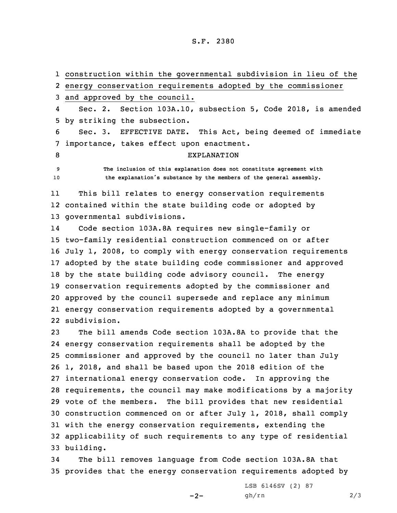## S.F. 2380

 construction within the governmental subdivision in lieu of the energy conservation requirements adopted by the commissioner and approved by the council. 4 Sec. 2. Section 103A.10, subsection 5, Code 2018, is amended by striking the subsection. Sec. 3. EFFECTIVE DATE. This Act, being deemed of immediate importance, takes effect upon enactment. 8 EXPLANATION **The inclusion of this explanation does not constitute agreement with the explanation's substance by the members of the general assembly.** 11 This bill relates to energy conservation requirements contained within the state building code or adopted by governmental subdivisions. 14 Code section 103A.8A requires new single-family or two-family residential construction commenced on or after July 1, 2008, to comply with energy conservation requirements adopted by the state building code commissioner and approved by the state building code advisory council. The energy conservation requirements adopted by the commissioner and approved by the council supersede and replace any minimum energy conservation requirements adopted by <sup>a</sup> governmental subdivision. The bill amends Code section 103A.8A to provide that the

 energy conservation requirements shall be adopted by the commissioner and approved by the council no later than July 1, 2018, and shall be based upon the 2018 edition of the international energy conservation code. In approving the requirements, the council may make modifications by <sup>a</sup> majority vote of the members. The bill provides that new residential construction commenced on or after July 1, 2018, shall comply with the energy conservation requirements, extending the applicability of such requirements to any type of residential building.

34 The bill removes language from Code section 103A.8A that 35 provides that the energy conservation requirements adopted by

 $-2-$ 

LSB 6146SV (2) 87 gh/rn 2/3